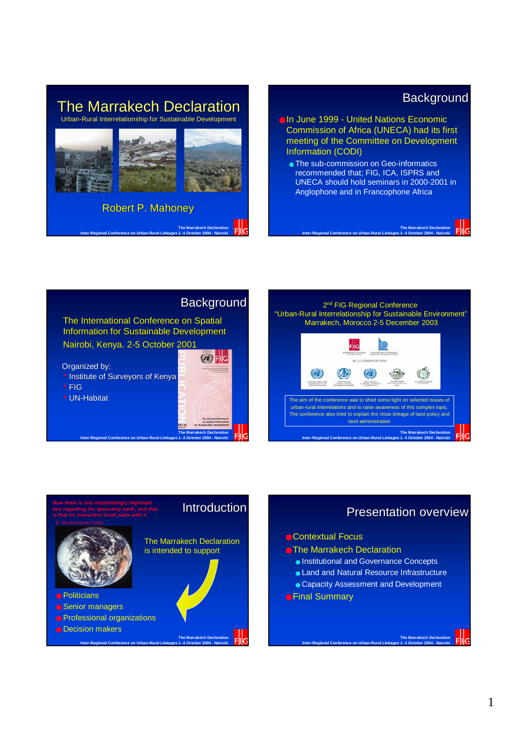#### **The Marrakech Declaration** Urban-Rural Interrelationship for Sustainable Development



**The Marrakech Declaration Inter-Regional Conference on Urban-Rural Linkages 1- 4 October 2004 - Nairobi**

## **Background**

**The Marrakech Declaration**

- ●In June 1999 United Nations Economic Commission of Africa (UNECA) had its first meeting of the Committee on Development Information (CODI)
	- The sub-commission on Geo-informatics recommended that; FIG, ICA, ISPRS and UNECA should hold seminars in 2000-2001 in Anglophone and in Francophone Africa

**Inter-Regional Conference on Urban-Rural Linkages 1- 4 October 2004 - Nairobi**







## Presentation overview

**The Marrakech Declaration**

- **The Marrakech Declaration** 
	- Institutional and Governance Concepts
	- Land and Natural Resource Infrastructure
	- Capacity Assessment and Development
-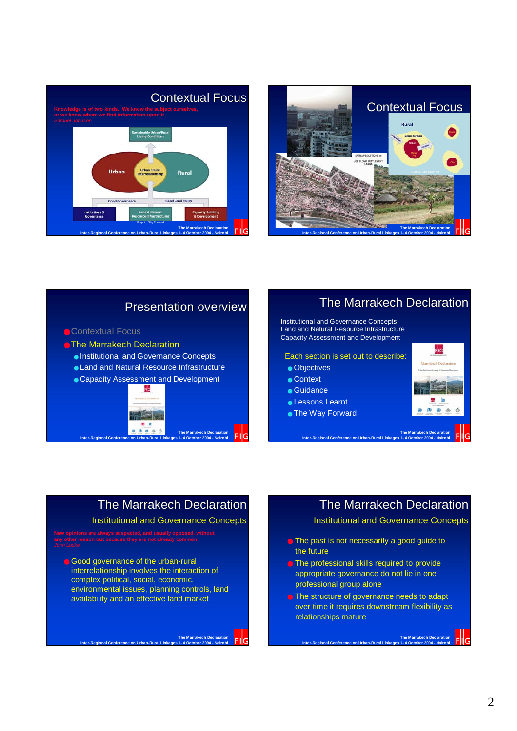



## Presentation overview

#### ● Contextual Focus

**• The Marrakech Declaration** 

- Institutional and Governance Concepts
- Land and Natural Resource Infrastructure
- Capacity Assessment and Development



## The Marrakech Declaration

Institutional and Governance Concepts Land and Natural Resource Infrastructure Capacity Assessment and Development

Each section is set out to describe:

- Objectives
- Context
- Guidance
- Lessons Learnt
- The Way Forward



## The Marrakech Declaration

**The Marraket** 

Institutional and Governance Concepts

● Good governance of the urban-rural interrelationship involves the interaction of complex political, social, economic, environmental issues, planning controls, land availability and an effective land market

**Inter-Regional Conference on Urban-Rural Linkages 1- 4 October 2004 - Nairobi**

## The Marrakech Declaration

Institutional and Governance Concepts

**The Marrakech Declaration**

- The past is not necessarily a good quide to the future
- The professional skills required to provide appropriate governance do not lie in one professional group alone
- The structure of governance needs to adapt over time it requires downstream flexibility as relationships mature

**Inter-Regional Conference on Urban-Rural Linkages 1- 4 October 2004 - Nairobi**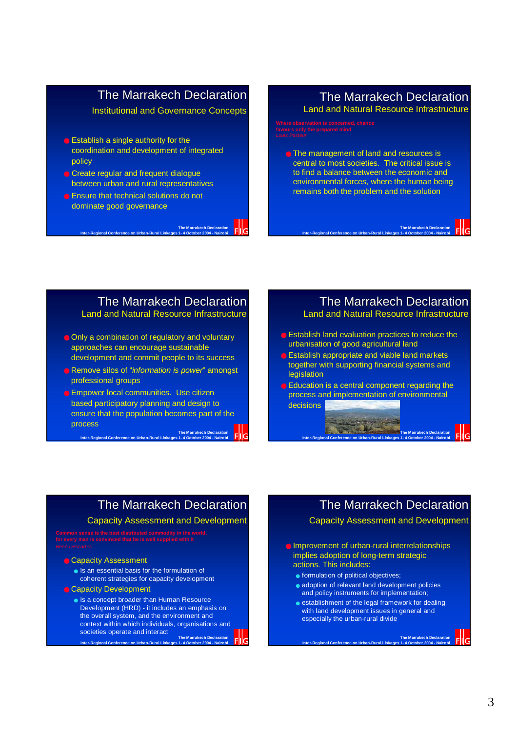## The Marrakech Declaration

Institutional and Governance Concepts

- $\bullet$  Establish a single authority for the coordination and development of integrated policy
- Create regular and frequent dialogue between urban and rural representatives
- Ensure that technical solutions do not dominate good governance

**Inter-Regional Conference on Urban-Rural Linkages 1- 4 October 2004 - Nairobi**

## The Marrakech Declaration

Land and Natural Resource Infrastructure

● The management of land and resources is central to most societies. The critical issue is to find a balance between the economic and environmental forces, where the human being remains both the problem and the solution

**Inter-Regional Conference on Urban-Rural Linkages 1- 4 October 2004 - Nairobi**

#### The Marrakech Declaration Land and Natural Resource Infrastructure

**The Marrakech Declaration**

- Only a combination of regulatory and voluntary approaches can encourage sustainable development and commit people to its success
- Remove silos of "*information is power*" amongst professional groups

**The Marrake** ● Empower local communities. Use citizen based participatory planning and design to ensure that the population becomes part of the process

**Inter-Regional Conference on Urban-Rural Linkages 1- 4 October 2004 - Nairobi**

The Marrakech Declaration Land and Natural Resource Infrastructure

**The Marrakech Declaration**

**The Marrakech Declaration**

**The Marrakech Declaration**

- Establish land evaluation practices to reduce the urbanisation of good agricultural land
- **B** Establish appropriate and viable land markets together with supporting financial systems and legislation
- Education is a central component regarding the process and implementation of environmental decisions

**Inter-Regional Conference on Urban-Rural Linkages 1- 4 October 2004 - Nairobi**

## The Marrakech Declaration

Capacity Assessment and Development

**Common sense is the best distributed commodity in the world,** 

#### ● Capacity Assessment

- Is an essential basis for the formulation of coherent strategies for capacity development
- Capacity Development
	- **The Marrakech Declaration** ● Is a concept broader than Human Resource Development (HRD) - it includes an emphasis on the overall system, and the environment and context within which individuals, organisations and societies operate and interact

**Inter-Regional Conference on Urban-Rural Linkages 1- 4 October 2004 - Nairobi**

## The Marrakech Declaration

#### Capacity Assessment and Development

- Improvement of urban-rural interrelationships implies adoption of long-term strategic actions. This includes:
	- formulation of political objectives;
	- adoption of relevant land development policies and policy instruments for implementation;
	- establishment of the legal framework for dealing with land development issues in general and especially the urban-rural divide

**Inter-Regional Conference on Urban-Rural Linkages 1- 4 October 2004 - Nairobi**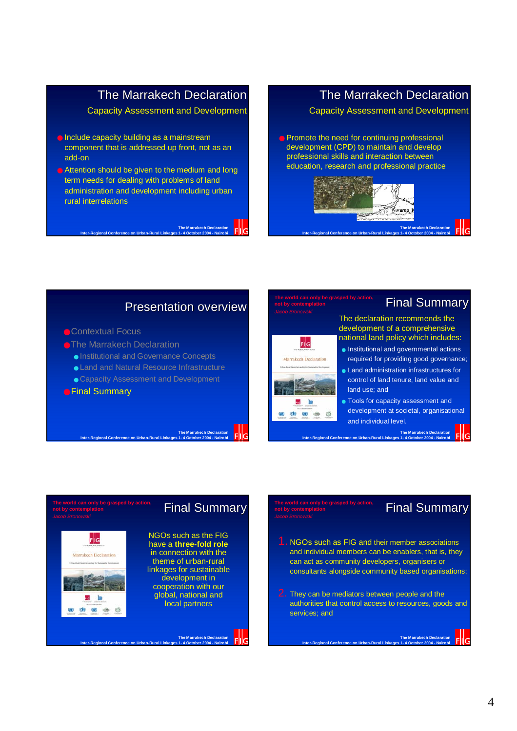## The Marrakech Declaration

#### Capacity Assessment and Development

- Include capacity building as a mainstream component that is addressed up front, not as an add-on
- Attention should be given to the medium and long term needs for dealing with problems of land administration and development including urban rural interrelations



## The Marrakech Declaration

#### Capacity Assessment and Development

● Promote the need for continuing professional development (CPD) to maintain and develop professional skills and interaction between education, research and professional practice



#### Presentation overview

**The Marrake** 

#### ● Contextual Focus

- **The Marrakech Declaration** 
	- Institutional and Governance Concepts
	- Land and Natural Resource Infrastructure
	- Capacity Assessment and Development

**Inter-Regional Conference on Urban-Rural Linkages 1- 4 October 2004 - Nairobi**

#### ● Final Summary

 $F|G$ akech Declarati

> (zi)  $\bigcirc$   $\bigcirc$

# $F|G$ Ø.

**not by contemplation**

### **Final Summary**

The declaration recommends the development of a comprehensive national land policy which includes:

- Institutional and governmental actions required for providing good governance; ● Land administration infrastructures for control of land tenure, land value and
- land use; and ● Tools for capacity assessment and
- development at societal, organisational and individual level.

**The Marrak**<br>1-4 Octobe

## **Final Summary**

NGOs such as the FIG have a **three-fold role** in connection with the theme of urban-rural linkages for sustainable development in cooperation with our global, national and local partners

**The Marrak** 

**Inter-Regional Conference on Urban-Rural Linkages 1- 4 October 2004 - Nairobi**

## **not by contemplation**

### **Final Summary**

**The Marrakech Declaration**

1. NGOs such as FIG and their member associations and individual members can be enablers, that is, they can act as community developers, organisers or consultants alongside community based organisations;

**Inter-Regional Conference on Urban-Rural Linkages 1- 4 October 2004 - Nairobi**

2. They can be mediators between people and the authorities that control access to resources, goods and services; and

**Inter-Regional Conference on Urban-Rural Linkages 1- 4 October 2004 - Nairobi**

#### 4